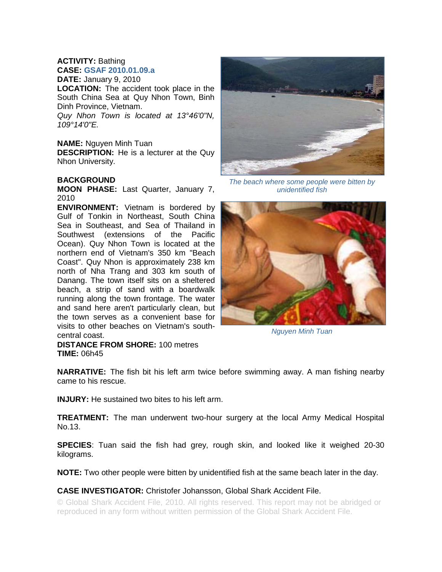# **ACTIVITY:** Bathing **CASE: GSAF 2010.01.09.a**

**DATE:** January 9, 2010 **LOCATION:** The accident took place in the South China Sea at Quy Nhon Town, Binh Dinh Province, Vietnam.

*Quy Nhon Town is located at 13°46'0"N, 109°14'0"E.*

### **NAME:** Nguyen Minh Tuan

**DESCRIPTION:** He is a lecturer at the Quy Nhon University.

## **BACKGROUND**

**MOON PHASE:** Last Quarter, January 7, 2010

**ENVIRONMENT:** Vietnam is bordered by Gulf of Tonkin in Northeast, South China Sea in Southeast, and Sea of Thailand in Southwest (extensions of the Pacific Ocean). Quy Nhon Town is located at the northern end of Vietnam's 350 km "Beach Coast". Quy Nhon is approximately 238 km north of Nha Trang and 303 km south of Danang. The town itself sits on a sheltered beach, a strip of sand with a boardwalk running along the town frontage. The water and sand here aren't particularly clean, but the town serves as a convenient base for visits to other beaches on Vietnam's southcentral coast.

#### **DISTANCE FROM SHORE:** 100 metres **TIME:** 06h45



*The beach where some people were bitten by unidentified fish* 



*Nguyen Minh Tuan* 

**NARRATIVE:** The fish bit his left arm twice before swimming away. A man fishing nearby came to his rescue.

**INJURY:** He sustained two bites to his left arm.

**TREATMENT:** The man underwent two-hour surgery at the local Army Medical Hospital No.13.

**SPECIES**: Tuan said the fish had grey, rough skin, and looked like it weighed 20-30 kilograms.

**NOTE:** Two other people were bitten by unidentified fish at the same beach later in the day.

## **CASE INVESTIGATOR:** Christofer Johansson, Global Shark Accident File.

© Global Shark Accident File, 2010. All rights reserved. This report may not be abridged or reproduced in any form without written permission of the Global Shark Accident File.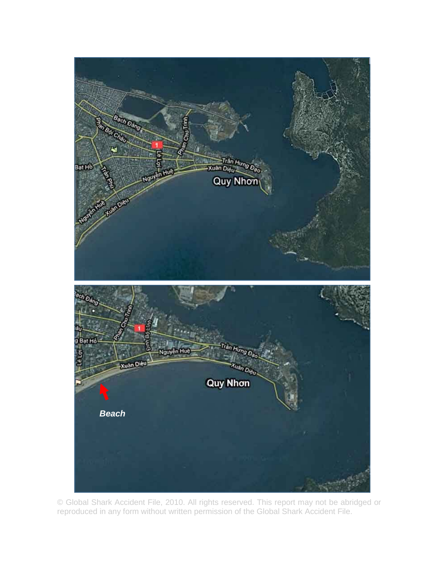

© Global Shark Accident File, 2010. All rights reserved. This report may not be abridged or reproduced in any form without written permission of the Global Shark Accident File.